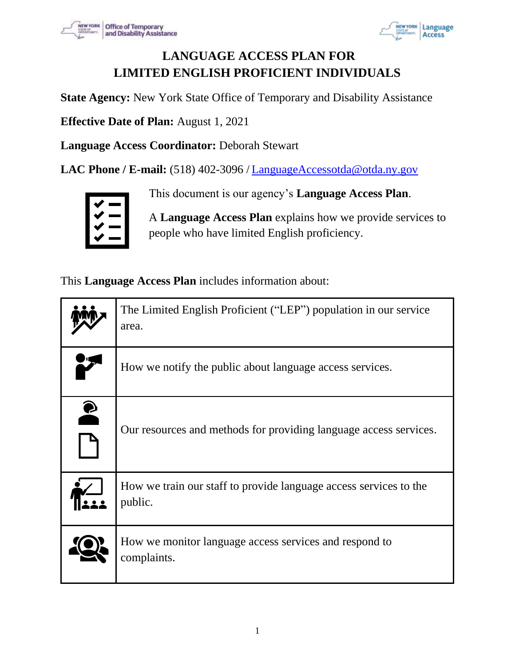



# **LANGUAGE ACCESS PLAN FOR LIMITED ENGLISH PROFICIENT INDIVIDUALS**

**State Agency:** New York State Office of Temporary and Disability Assistance

**Effective Date of Plan:** August 1, 2021

**Language Access Coordinator:** Deborah Stewart

**LAC Phone / E-mail:** (518) 402-3096 / LanguageAccessotda@otda.ny.gov



This document is our agency's **Language Access Plan**.

A **Language Access Plan** explains how we provide services to people who have limited English proficiency.

This **Language Access Plan** includes information about:

|           | The Limited English Proficient ("LEP") population in our service<br>area.    |
|-----------|------------------------------------------------------------------------------|
|           | How we notify the public about language access services.                     |
| $\bullet$ | Our resources and methods for providing language access services.            |
|           | How we train our staff to provide language access services to the<br>public. |
|           | How we monitor language access services and respond to<br>complaints.        |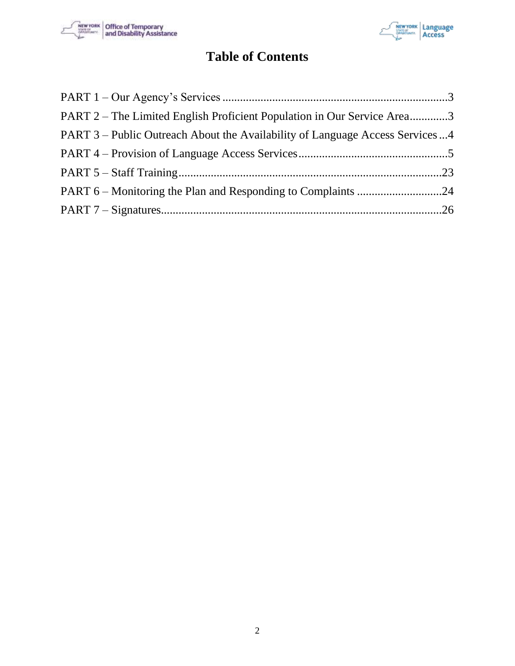



# **Table of Contents**

| PART 2 – The Limited English Proficient Population in Our Service Area3      |  |
|------------------------------------------------------------------------------|--|
| PART 3 – Public Outreach About the Availability of Language Access Services4 |  |
|                                                                              |  |
|                                                                              |  |
|                                                                              |  |
|                                                                              |  |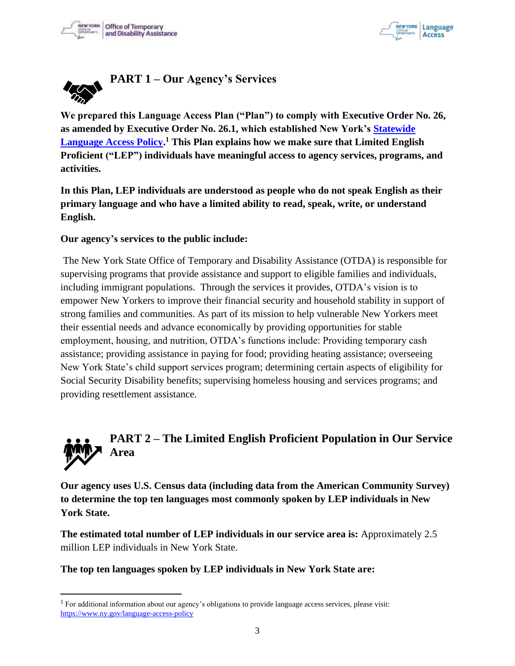



<span id="page-2-0"></span>

**We prepared this Language Access Plan ("Plan") to comply with Executive Order No. 26, as amended by Executive Order No. 26.1, which established New York's Statewide Language Access Policy. <sup>1</sup> This Plan explains how we make sure that Limited English Proficient ("LEP") individuals have meaningful access to agency services, programs, and activities.**

**In this Plan, LEP individuals are understood as people who do not speak English as their primary language and who have a limited ability to read, speak, write, or understand English.** 

#### **Our agency's services to the public include:**

The New York State Office of Temporary and Disability Assistance (OTDA) is responsible for supervising programs that provide assistance and support to eligible families and individuals, including immigrant populations. Through the services it provides, OTDA's vision is to empower New Yorkers to improve their financial security and household stability in support of strong families and communities. As part of its mission to help vulnerable New Yorkers meet their essential needs and advance economically by providing opportunities for stable employment, housing, and nutrition, OTDA's functions include: Providing temporary cash assistance; providing assistance in paying for food; providing heating assistance; overseeing New York State's child support services program; determining certain aspects of eligibility for Social Security Disability benefits; supervising homeless housing and services programs; and providing resettlement assistance.

# <span id="page-2-1"></span>**PART 2 – The Limited English Proficient Population in Our Service Area**

**Our agency uses U.S. Census data (including data from the American Community Survey) to determine the top ten languages most commonly spoken by LEP individuals in New York State.** 

**The estimated total number of LEP individuals in our service area is:** Approximately 2.5 million LEP individuals in New York State.

#### **The top ten languages spoken by LEP individuals in New York State are:**

<sup>1</sup> For additional information about our agency's obligations to provide language access services, please visit: https://www.ny.gov/language-access-policy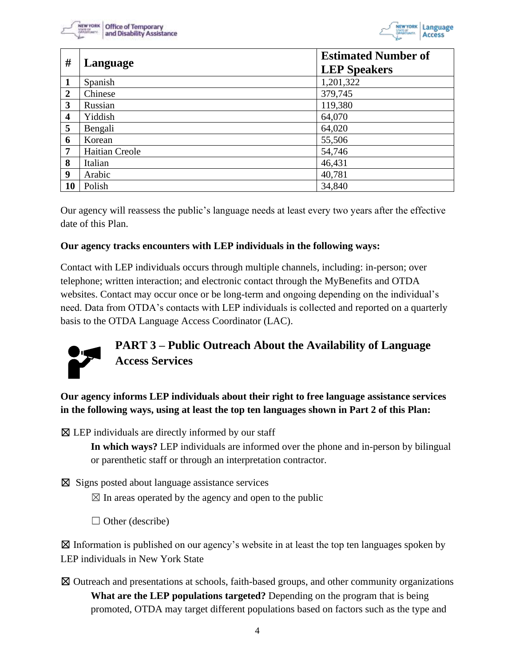



| #                       | Language              | <b>Estimated Number of</b><br><b>LEP Speakers</b> |
|-------------------------|-----------------------|---------------------------------------------------|
| 1                       | Spanish               | 1,201,322                                         |
| $\boldsymbol{2}$        | Chinese               | 379,745                                           |
| 3                       | Russian               | 119,380                                           |
| $\overline{\mathbf{4}}$ | Yiddish               | 64,070                                            |
| 5                       | Bengali               | 64,020                                            |
| 6                       | Korean                | 55,506                                            |
| 7                       | <b>Haitian Creole</b> | 54,746                                            |
| 8                       | Italian               | 46,431                                            |
| 9                       | Arabic                | 40,781                                            |
| 10                      | Polish                | 34,840                                            |

Our agency will reassess the public's language needs at least every two years after the effective date of this Plan.

#### **Our agency tracks encounters with LEP individuals in the following ways:**

Contact with LEP individuals occurs through multiple channels, including: in-person; over telephone; written interaction; and electronic contact through the MyBenefits and OTDA websites. Contact may occur once or be long-term and ongoing depending on the individual's need. Data from OTDA's contacts with LEP individuals is collected and reported on a quarterly basis to the OTDA Language Access Coordinator (LAC).

<span id="page-3-0"></span>

**Our agency informs LEP individuals about their right to free language assistance services in the following ways, using at least the top ten languages shown in Part 2 of this Plan:**

 $\boxtimes$  LEP individuals are directly informed by our staff

**In which ways?** LEP individuals are informed over the phone and in-person by bilingual or parenthetic staff or through an interpretation contractor.

☒ Signs posted about language assistance services

 $\boxtimes$  In areas operated by the agency and open to the public

 $\Box$  Other (describe)

 $\boxtimes$  Information is published on our agency's website in at least the top ten languages spoken by LEP individuals in New York State

☒ Outreach and presentations at schools, faith-based groups, and other community organizations **What are the LEP populations targeted?** Depending on the program that is being promoted, OTDA may target different populations based on factors such as the type and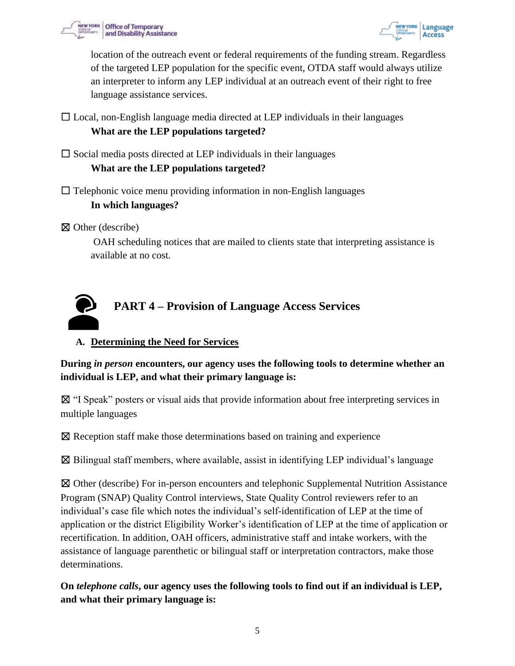



location of the outreach event or federal requirements of the funding stream. Regardless of the targeted LEP population for the specific event, OTDA staff would always utilize an interpreter to inform any LEP individual at an outreach event of their right to free language assistance services.

 $\Box$  Local, non-English language media directed at LEP individuals in their languages **What are the LEP populations targeted?**

 $\Box$  Social media posts directed at LEP individuals in their languages

#### **What are the LEP populations targeted?**

 $\Box$  Telephonic voice menu providing information in non-English languages **In which languages?** 

☒ Other (describe)

OAH scheduling notices that are mailed to clients state that interpreting assistance is available at no cost.

<span id="page-4-0"></span>

# **A. Determining the Need for Services**

**During** *in person* **encounters, our agency uses the following tools to determine whether an individual is LEP, and what their primary language is:**

☒ "I Speak" posters or visual aids that provide information about free interpreting services in multiple languages

☒ Reception staff make those determinations based on training and experience

 $\boxtimes$  Bilingual staff members, where available, assist in identifying LEP individual's language

☒ Other (describe) For in-person encounters and telephonic Supplemental Nutrition Assistance Program (SNAP) Quality Control interviews, State Quality Control reviewers refer to an individual's case file which notes the individual's self-identification of LEP at the time of application or the district Eligibility Worker's identification of LEP at the time of application or recertification. In addition, OAH officers, administrative staff and intake workers, with the assistance of language parenthetic or bilingual staff or interpretation contractors, make those determinations.

**On** *telephone calls***, our agency uses the following tools to find out if an individual is LEP, and what their primary language is:**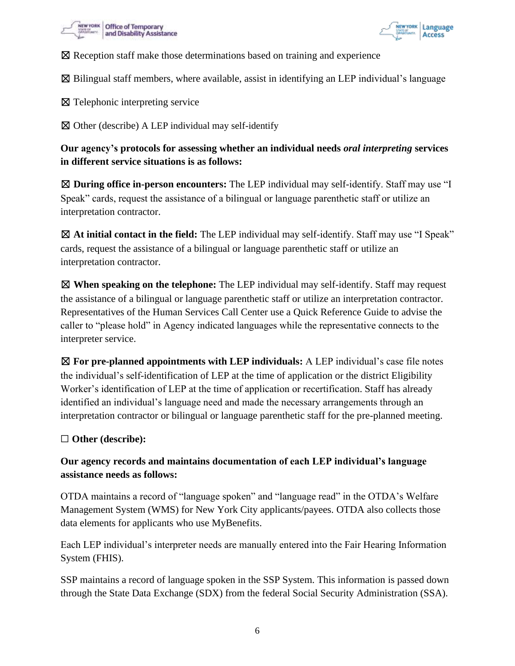



☒ Reception staff make those determinations based on training and experience

 $\boxtimes$  Bilingual staff members, where available, assist in identifying an LEP individual's language

☒ Telephonic interpreting service

 $\boxtimes$  Other (describe) A LEP individual may self-identify

**Our agency's protocols for assessing whether an individual needs** *oral interpreting* **services in different service situations is as follows:**

☒ **During office in-person encounters:** The LEP individual may self-identify. Staff may use "I Speak" cards, request the assistance of a bilingual or language parenthetic staff or utilize an interpretation contractor.

☒ **At initial contact in the field:** The LEP individual may self-identify. Staff may use "I Speak" cards, request the assistance of a bilingual or language parenthetic staff or utilize an interpretation contractor.

☒ **When speaking on the telephone:** The LEP individual may self-identify. Staff may request the assistance of a bilingual or language parenthetic staff or utilize an interpretation contractor. Representatives of the Human Services Call Center use a Quick Reference Guide to advise the caller to "please hold" in Agency indicated languages while the representative connects to the interpreter service.

☒ **For pre-planned appointments with LEP individuals:** A LEP individual's case file notes the individual's self-identification of LEP at the time of application or the district Eligibility Worker's identification of LEP at the time of application or recertification. Staff has already identified an individual's language need and made the necessary arrangements through an interpretation contractor or bilingual or language parenthetic staff for the pre-planned meeting.

#### ☐ **Other (describe):**

# **Our agency records and maintains documentation of each LEP individual's language assistance needs as follows:**

OTDA maintains a record of "language spoken" and "language read" in the OTDA's Welfare Management System (WMS) for New York City applicants/payees. OTDA also collects those data elements for applicants who use MyBenefits.

Each LEP individual's interpreter needs are manually entered into the Fair Hearing Information System (FHIS).

SSP maintains a record of language spoken in the SSP System. This information is passed down through the State Data Exchange (SDX) from the federal Social Security Administration (SSA).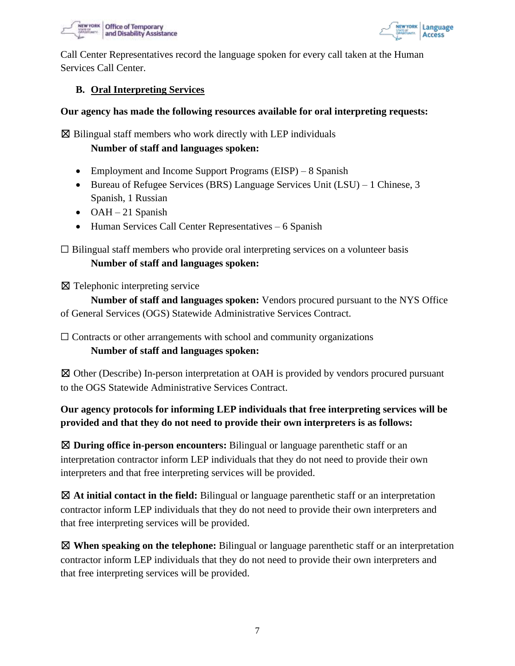



Call Center Representatives record the language spoken for every call taken at the Human Services Call Center.

#### **B. Oral Interpreting Services**

#### **Our agency has made the following resources available for oral interpreting requests:**

 $\boxtimes$  Bilingual staff members who work directly with LEP individuals

**Number of staff and languages spoken:**

- Employment and Income Support Programs (EISP) 8 Spanish
- Bureau of Refugee Services (BRS) Language Services Unit (LSU) 1 Chinese, 3 Spanish, 1 Russian
- OAH 21 Spanish
- Human Services Call Center Representatives 6 Spanish

 $\Box$  Bilingual staff members who provide oral interpreting services on a volunteer basis **Number of staff and languages spoken:**

☒ Telephonic interpreting service

**Number of staff and languages spoken:** Vendors procured pursuant to the NYS Office of General Services (OGS) Statewide Administrative Services Contract.

 $\Box$  Contracts or other arrangements with school and community organizations **Number of staff and languages spoken:**

☒ Other (Describe) In-person interpretation at OAH is provided by vendors procured pursuant to the OGS Statewide Administrative Services Contract.

# **Our agency protocols for informing LEP individuals that free interpreting services will be provided and that they do not need to provide their own interpreters is as follows:**

☒ **During office in-person encounters:** Bilingual or language parenthetic staff or an interpretation contractor inform LEP individuals that they do not need to provide their own interpreters and that free interpreting services will be provided.

☒ **At initial contact in the field:** Bilingual or language parenthetic staff or an interpretation contractor inform LEP individuals that they do not need to provide their own interpreters and that free interpreting services will be provided.

☒ **When speaking on the telephone:** Bilingual or language parenthetic staff or an interpretation contractor inform LEP individuals that they do not need to provide their own interpreters and that free interpreting services will be provided.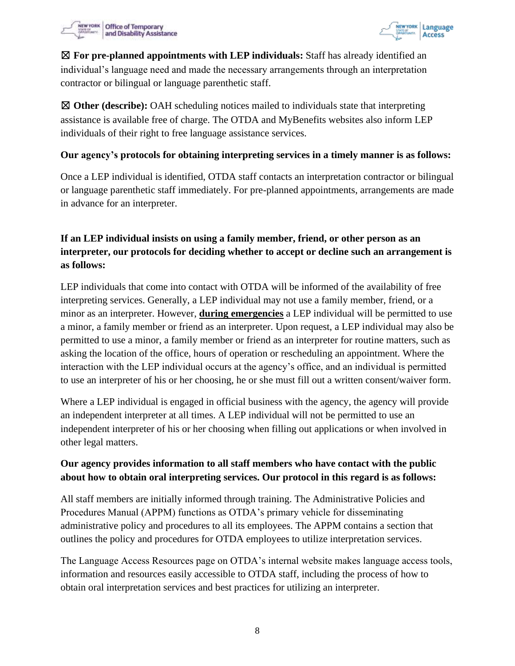



☒ **For pre-planned appointments with LEP individuals:** Staff has already identified an individual's language need and made the necessary arrangements through an interpretation contractor or bilingual or language parenthetic staff.

☒ **Other (describe):** OAH scheduling notices mailed to individuals state that interpreting assistance is available free of charge. The OTDA and MyBenefits websites also inform LEP individuals of their right to free language assistance services.

#### **Our agency's protocols for obtaining interpreting services in a timely manner is as follows:**

Once a LEP individual is identified, OTDA staff contacts an interpretation contractor or bilingual or language parenthetic staff immediately. For pre-planned appointments, arrangements are made in advance for an interpreter.

# **If an LEP individual insists on using a family member, friend, or other person as an interpreter, our protocols for deciding whether to accept or decline such an arrangement is as follows:**

LEP individuals that come into contact with OTDA will be informed of the availability of free interpreting services. Generally, a LEP individual may not use a family member, friend, or a minor as an interpreter. However, **during emergencies** a LEP individual will be permitted to use a minor, a family member or friend as an interpreter. Upon request, a LEP individual may also be permitted to use a minor, a family member or friend as an interpreter for routine matters, such as asking the location of the office, hours of operation or rescheduling an appointment. Where the interaction with the LEP individual occurs at the agency's office, and an individual is permitted to use an interpreter of his or her choosing, he or she must fill out a written consent/waiver form.

Where a LEP individual is engaged in official business with the agency, the agency will provide an independent interpreter at all times. A LEP individual will not be permitted to use an independent interpreter of his or her choosing when filling out applications or when involved in other legal matters.

#### **Our agency provides information to all staff members who have contact with the public about how to obtain oral interpreting services. Our protocol in this regard is as follows:**

All staff members are initially informed through training. The Administrative Policies and Procedures Manual (APPM) functions as OTDA's primary vehicle for disseminating administrative policy and procedures to all its employees. The APPM contains a section that outlines the policy and procedures for OTDA employees to utilize interpretation services.

The Language Access Resources page on OTDA's internal website makes language access tools, information and resources easily accessible to OTDA staff, including the process of how to obtain oral interpretation services and best practices for utilizing an interpreter.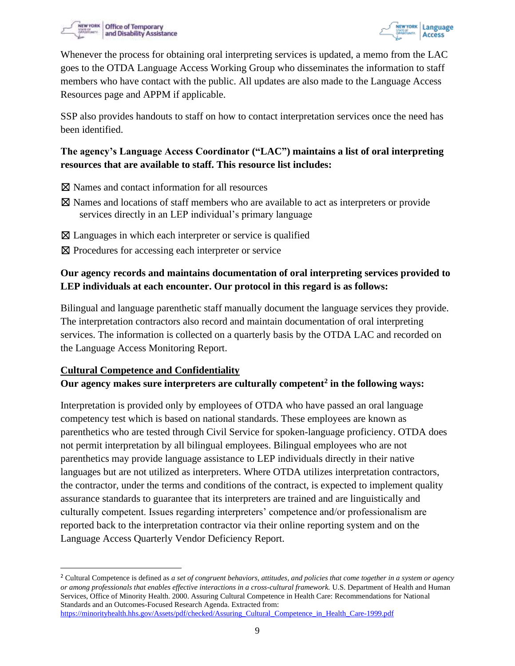



Whenever the process for obtaining oral interpreting services is updated, a memo from the LAC goes to the OTDA Language Access Working Group who disseminates the information to staff members who have contact with the public. All updates are also made to the Language Access Resources page and APPM if applicable.

SSP also provides handouts to staff on how to contact interpretation services once the need has been identified.

#### **The agency's Language Access Coordinator ("LAC") maintains a list of oral interpreting resources that are available to staff. This resource list includes:**

- ☒ Names and contact information for all resources
- ☒ Names and locations of staff members who are available to act as interpreters or provide services directly in an LEP individual's primary language
- $\boxtimes$  Languages in which each interpreter or service is qualified
- ⊠ Procedures for accessing each interpreter or service

# **Our agency records and maintains documentation of oral interpreting services provided to LEP individuals at each encounter. Our protocol in this regard is as follows:**

Bilingual and language parenthetic staff manually document the language services they provide. The interpretation contractors also record and maintain documentation of oral interpreting services. The information is collected on a quarterly basis by the OTDA LAC and recorded on the Language Access Monitoring Report.

#### **Cultural Competence and Confidentiality**

#### **Our agency makes sure interpreters are culturally competent<sup>2</sup> in the following ways:**

Interpretation is provided only by employees of OTDA who have passed an oral language competency test which is based on national standards. These employees are known as parenthetics who are tested through Civil Service for spoken-language proficiency. OTDA does not permit interpretation by all bilingual employees. Bilingual employees who are not parenthetics may provide language assistance to LEP individuals directly in their native languages but are not utilized as interpreters. Where OTDA utilizes interpretation contractors, the contractor, under the terms and conditions of the contract, is expected to implement quality assurance standards to guarantee that its interpreters are trained and are linguistically and culturally competent. Issues regarding interpreters' competence and/or professionalism are reported back to the interpretation contractor via their online reporting system and on the Language Access Quarterly Vendor Deficiency Report.

<sup>2</sup> Cultural Competence is defined as *a set of congruent behaviors, attitudes, and policies that come together in a system or agency or among professionals that enables effective interactions in a cross-cultural framework.* U.S. Department of Health and Human Services, Office of Minority Health. 2000. Assuring Cultural Competence in Health Care: Recommendations for National Standards and an Outcomes-Focused Research Agenda. Extracted from: https://minorityhealth.hhs.gov/Assets/pdf/checked/Assuring\_Cultural\_Competence\_in\_Health\_Care-1999.pdf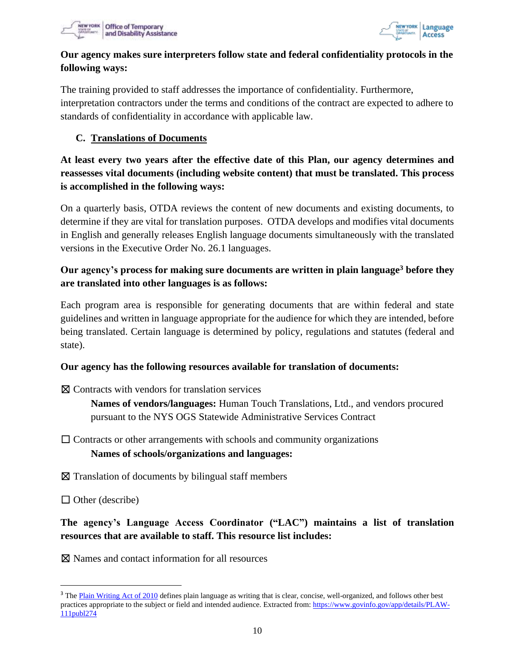



## **Our agency makes sure interpreters follow state and federal confidentiality protocols in the following ways:**

The training provided to staff addresses the importance of confidentiality. Furthermore, interpretation contractors under the terms and conditions of the contract are expected to adhere to standards of confidentiality in accordance with applicable law.

#### **C. Translations of Documents**

# **At least every two years after the effective date of this Plan, our agency determines and reassesses vital documents (including website content) that must be translated. This process is accomplished in the following ways:**

On a quarterly basis, OTDA reviews the content of new documents and existing documents, to determine if they are vital for translation purposes. OTDA develops and modifies vital documents in English and generally releases English language documents simultaneously with the translated versions in the Executive Order No. 26.1 languages.

# **Our agency's process for making sure documents are written in plain language<sup>3</sup> before they are translated into other languages is as follows:**

Each program area is responsible for generating documents that are within federal and state guidelines and written in language appropriate for the audience for which they are intended, before being translated. Certain language is determined by policy, regulations and statutes (federal and state).

#### **Our agency has the following resources available for translation of documents:**

 $\boxtimes$  Contracts with vendors for translation services

**Names of vendors/languages:** Human Touch Translations, Ltd., and vendors procured pursuant to the NYS OGS Statewide Administrative Services Contract

 $\Box$  Contracts or other arrangements with schools and community organizations

#### **Names of schools/organizations and languages:**

 $\boxtimes$  Translation of documents by bilingual staff members

 $\Box$  Other (describe)

# **The agency's Language Access Coordinator ("LAC") maintains a list of translation resources that are available to staff. This resource list includes:**

☒ Names and contact information for all resources

<sup>&</sup>lt;sup>3</sup> The Plain Writing Act of 2010 defines plain language as writing that is clear, concise, well-organized, and follows other best practices appropriate to the subject or field and intended audience. Extracted from: https://www.govinfo.gov/app/details/PLAW-111publ274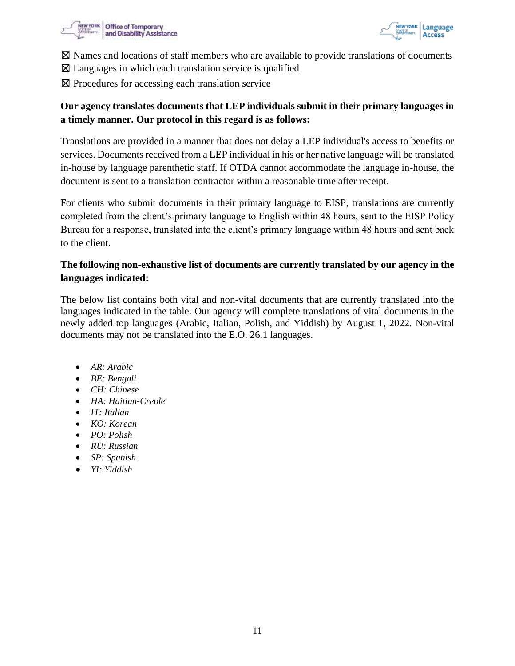



- $\boxtimes$  Names and locations of staff members who are available to provide translations of documents
- $\boxtimes$  Languages in which each translation service is qualified
- ⊠ Procedures for accessing each translation service

# **Our agency translates documents that LEP individuals submit in their primary languages in a timely manner. Our protocol in this regard is as follows:**

Translations are provided in a manner that does not delay a LEP individual's access to benefits or services. Documents received from a LEP individual in his or her native language will be translated in-house by language parenthetic staff. If OTDA cannot accommodate the language in-house, the document is sent to a translation contractor within a reasonable time after receipt.

For clients who submit documents in their primary language to EISP, translations are currently completed from the client's primary language to English within 48 hours, sent to the EISP Policy Bureau for a response, translated into the client's primary language within 48 hours and sent back to the client.

# **The following non-exhaustive list of documents are currently translated by our agency in the languages indicated:**

The below list contains both vital and non-vital documents that are currently translated into the languages indicated in the table. Our agency will complete translations of vital documents in the newly added top languages (Arabic, Italian, Polish, and Yiddish) by August 1, 2022. Non-vital documents may not be translated into the E.O. 26.1 languages.

- *AR: Arabic*
- *BE: Bengali*
- *CH: Chinese*
- *HA: Haitian-Creole*
- *IT: Italian*
- *KO: Korean*
- *PO: Polish*
- *RU: Russian*
- *SP: Spanish*
- *YI: Yiddish*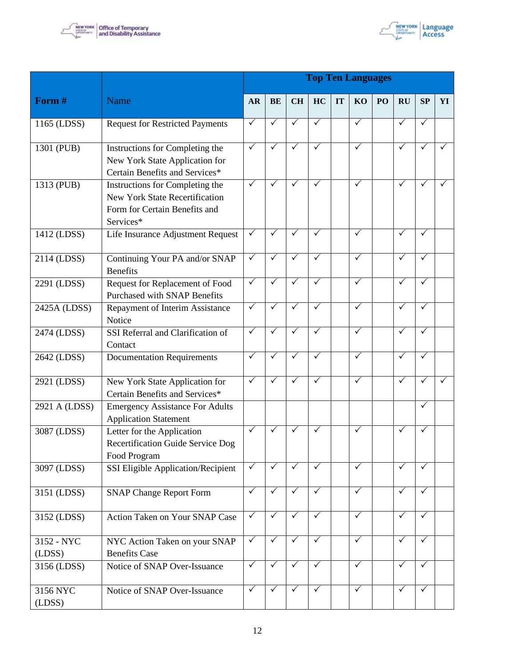



|                      |                                                                                                                 | <b>Top Ten Languages</b> |                       |              |              |    |              |    |              |              |              |  |
|----------------------|-----------------------------------------------------------------------------------------------------------------|--------------------------|-----------------------|--------------|--------------|----|--------------|----|--------------|--------------|--------------|--|
| Form #               | Name                                                                                                            | <b>AR</b>                | <b>BE</b>             | <b>CH</b>    | HC           | IT | KO           | PO | <b>RU</b>    | SP           | YI           |  |
| 1165 (LDSS)          | <b>Request for Restricted Payments</b>                                                                          | $\checkmark$             | ✓                     | $\checkmark$ | $\checkmark$ |    | $\checkmark$ |    | ✓            | $\checkmark$ |              |  |
| 1301 (PUB)           | Instructions for Completing the<br>New York State Application for<br>Certain Benefits and Services*             | $\checkmark$             | ✓                     | $\checkmark$ | ✓            |    | $\checkmark$ |    | ✓            | ✓            | $\checkmark$ |  |
| 1313 (PUB)           | Instructions for Completing the<br>New York State Recertification<br>Form for Certain Benefits and<br>Services* | ✓                        | ✓                     | ✓            | ✓            |    | $\checkmark$ |    | ✓            | $\checkmark$ |              |  |
| 1412 (LDSS)          | Life Insurance Adjustment Request                                                                               | $\checkmark$             | ✓                     | ✓            | ✓            |    | $\checkmark$ |    | $\checkmark$ | $\checkmark$ |              |  |
| 2114 (LDSS)          | Continuing Your PA and/or SNAP<br><b>Benefits</b>                                                               | $\checkmark$             | ✓                     | ✓            | ✓            |    | $\checkmark$ |    | ✓            | ✓            |              |  |
| 2291 (LDSS)          | Request for Replacement of Food<br><b>Purchased with SNAP Benefits</b>                                          | $\checkmark$             | ✓                     | $\checkmark$ | $\checkmark$ |    | $\checkmark$ |    | $\checkmark$ | $\checkmark$ |              |  |
| 2425A (LDSS)         | Repayment of Interim Assistance<br>Notice                                                                       | $\checkmark$             | $\checkmark$          | $\checkmark$ | ✓            |    | $\checkmark$ |    | ✓            | $\checkmark$ |              |  |
| 2474 (LDSS)          | SSI Referral and Clarification of<br>Contact                                                                    | $\sqrt{}$                | $\overline{\sqrt{ }}$ | $\checkmark$ | $\checkmark$ |    | $\sqrt{}$    |    | $\checkmark$ | $\checkmark$ |              |  |
| 2642 (LDSS)          | <b>Documentation Requirements</b>                                                                               | $\checkmark$             | $\checkmark$          | $\checkmark$ | $\checkmark$ |    | $\checkmark$ |    | $\checkmark$ | $\checkmark$ |              |  |
| 2921 (LDSS)          | New York State Application for<br>Certain Benefits and Services*                                                | ✓                        | ✓                     | ✓            | ✓            |    | $\checkmark$ |    | ✓            | ✓            | $\checkmark$ |  |
| 2921 A (LDSS)        | <b>Emergency Assistance For Adults</b><br><b>Application Statement</b>                                          |                          |                       |              |              |    |              |    |              | ✓            |              |  |
| 3087 (LDSS)          | Letter for the Application<br><b>Recertification Guide Service Dog</b><br>Food Program                          | $\checkmark$             | ✓                     | $\checkmark$ | ✓            |    | $\checkmark$ |    | ✓            | $\checkmark$ |              |  |
| 3097 (LDSS)          | SSI Eligible Application/Recipient                                                                              | $\checkmark$             | $\checkmark$          | $\checkmark$ | $\checkmark$ |    | $\checkmark$ |    | $\checkmark$ | $\checkmark$ |              |  |
| 3151 (LDSS)          | <b>SNAP Change Report Form</b>                                                                                  | $\checkmark$             | ✓                     | $\checkmark$ | $\checkmark$ |    | $\checkmark$ |    | ✓            | $\checkmark$ |              |  |
| 3152 (LDSS)          | Action Taken on Your SNAP Case                                                                                  | $\checkmark$             | ✓                     | $\checkmark$ | $\checkmark$ |    | $\checkmark$ |    | ✓            | $\checkmark$ |              |  |
| 3152 - NYC<br>(LDSS) | NYC Action Taken on your SNAP<br><b>Benefits Case</b>                                                           | $\checkmark$             | $\checkmark$          | $\checkmark$ | $\checkmark$ |    | $\checkmark$ |    | $\checkmark$ | $\checkmark$ |              |  |
| 3156 (LDSS)          | Notice of SNAP Over-Issuance                                                                                    | $\sqrt{}$                | $\checkmark$          | $\checkmark$ | $\checkmark$ |    | $\checkmark$ |    | $\checkmark$ | $\checkmark$ |              |  |
| 3156 NYC<br>(LDSS)   | Notice of SNAP Over-Issuance                                                                                    | $\checkmark$             | $\checkmark$          | $\checkmark$ | $\checkmark$ |    | $\checkmark$ |    | $\checkmark$ | $\checkmark$ |              |  |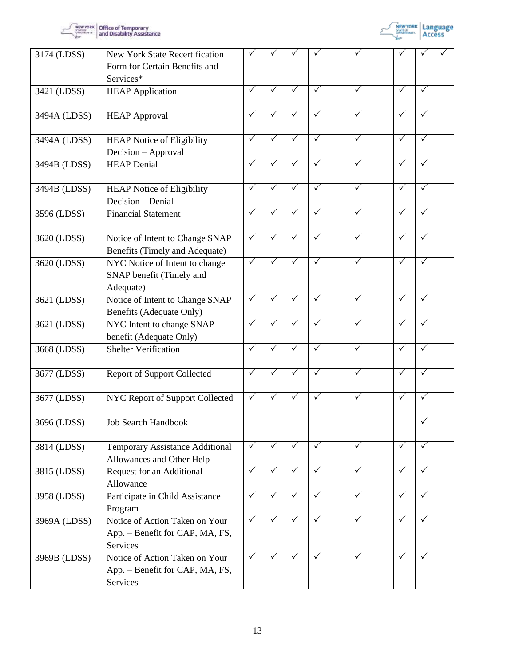



| 3174 (LDSS)  | <b>New York State Recertification</b><br>Form for Certain Benefits and<br>Services* |              |                   |              |              |              |                         |                         |  |
|--------------|-------------------------------------------------------------------------------------|--------------|-------------------|--------------|--------------|--------------|-------------------------|-------------------------|--|
| 3421 (LDSS)  | <b>HEAP</b> Application                                                             | $\sqrt{}$    | $\sqrt{}$         | $\checkmark$ | $\checkmark$ | $\checkmark$ | $\checkmark$            | $\checkmark$            |  |
| 3494A (LDSS) | <b>HEAP Approval</b>                                                                | ✓            | $\checkmark$      | $\checkmark$ | ✓            | $\sqrt{}$    | $\checkmark$            | $\checkmark$            |  |
| 3494A (LDSS) | <b>HEAP Notice of Eligibility</b><br>Decision - Approval                            | ✓            | $\checkmark$      | $\checkmark$ | ✓            | $\checkmark$ | ✓                       | $\checkmark$            |  |
| 3494B (LDSS) | <b>HEAP Denial</b>                                                                  | ✓            | $\checkmark$      | ✓            | ✓            | $\checkmark$ | $\checkmark$            | ✓                       |  |
| 3494B (LDSS) | <b>HEAP Notice of Eligibility</b><br>Decision - Denial                              | $\checkmark$ | $\checkmark$      | $\checkmark$ | ✓            | $\checkmark$ | $\checkmark$            | $\checkmark$            |  |
| 3596 (LDSS)  | <b>Financial Statement</b>                                                          | $\checkmark$ | $\checkmark$      | $\checkmark$ | ✓            | $\sqrt{}$    | ✓                       | $\checkmark$            |  |
| 3620 (LDSS)  | Notice of Intent to Change SNAP<br>Benefits (Timely and Adequate)                   | $\checkmark$ | $\checkmark$      | ✓            | ✓            | $\sqrt{}$    | $\checkmark$            | $\checkmark$            |  |
| 3620 (LDSS)  | NYC Notice of Intent to change<br>SNAP benefit (Timely and<br>Adequate)             | $\checkmark$ | $\checkmark$      | $\sqrt{}$    | $\checkmark$ | $\sqrt{}$    | $\overline{\checkmark}$ | $\checkmark$            |  |
| 3621 (LDSS)  | Notice of Intent to Change SNAP<br>Benefits (Adequate Only)                         | $\checkmark$ | $\checkmark$      | ✓            | ✓            | $\checkmark$ | $\checkmark$            | $\checkmark$            |  |
| 3621 (LDSS)  | NYC Intent to change SNAP<br>benefit (Adequate Only)                                | $\checkmark$ | $\checkmark$      | $\checkmark$ | ✓            | $\checkmark$ | ✓                       | $\overline{\checkmark}$ |  |
| 3668 (LDSS)  | <b>Shelter Verification</b>                                                         | $\checkmark$ | $\checkmark$      | $\checkmark$ | $\checkmark$ | $\sqrt{}$    | $\checkmark$            | $\checkmark$            |  |
| 3677 (LDSS)  | <b>Report of Support Collected</b>                                                  | $\checkmark$ | $\checkmark$      | $\sqrt{}$    | $\checkmark$ | $\sqrt{}$    | $\checkmark$            | $\checkmark$            |  |
| 3677 (LDSS)  | NYC Report of Support Collected                                                     | $\checkmark$ | $\tilde{\sqrt{}}$ | $\checkmark$ | $\checkmark$ | $\checkmark$ | $\checkmark$            | $\checkmark$            |  |
| 3696 (LDSS)  | <b>Job Search Handbook</b>                                                          |              |                   |              |              |              |                         | ✓                       |  |
| 3814 (LDSS)  | Temporary Assistance Additional<br>Allowances and Other Help                        | $\checkmark$ | $\checkmark$      | ✓            | $\checkmark$ | $\checkmark$ | $\checkmark$            | $\checkmark$            |  |
| 3815 (LDSS)  | Request for an Additional<br>Allowance                                              | $\checkmark$ | $\checkmark$      | $\checkmark$ | $\checkmark$ | $\checkmark$ | $\checkmark$            | $\checkmark$            |  |
| 3958 (LDSS)  | Participate in Child Assistance<br>Program                                          | $\checkmark$ | $\checkmark$      | $\checkmark$ | $\checkmark$ | $\sqrt{}$    | $\checkmark$            | $\checkmark$            |  |
| 3969A (LDSS) | Notice of Action Taken on Your<br>App. - Benefit for CAP, MA, FS,<br>Services       | $\checkmark$ | $\checkmark$      | $\checkmark$ | ✓            | $\checkmark$ | $\checkmark$            | $\checkmark$            |  |
| 3969B (LDSS) | Notice of Action Taken on Your<br>App. – Benefit for CAP, MA, FS,<br>Services       | $\checkmark$ | $\checkmark$      | $\checkmark$ | $\checkmark$ | $\checkmark$ | $\checkmark$            | $\checkmark$            |  |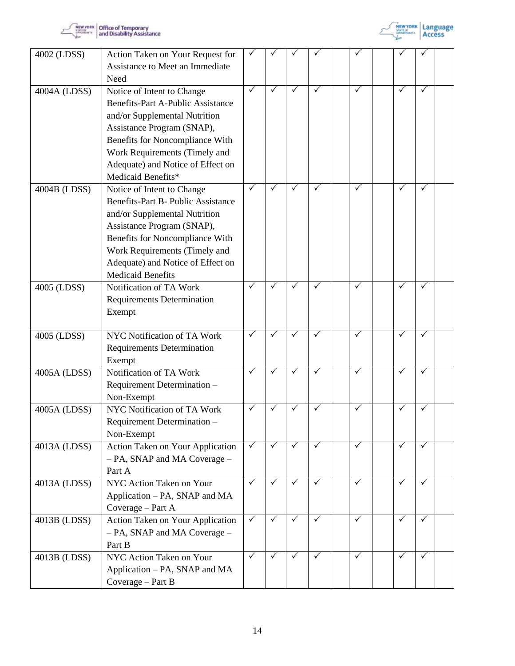



| 4002 (LDSS)  | Action Taken on Your Request for<br>Assistance to Meet an Immediate<br>Need                                                                                                                                                                                                 |              |              |              |              |              |              |              |  |
|--------------|-----------------------------------------------------------------------------------------------------------------------------------------------------------------------------------------------------------------------------------------------------------------------------|--------------|--------------|--------------|--------------|--------------|--------------|--------------|--|
| 4004A (LDSS) | Notice of Intent to Change<br><b>Benefits-Part A-Public Assistance</b><br>and/or Supplemental Nutrition<br>Assistance Program (SNAP),<br>Benefits for Noncompliance With<br>Work Requirements (Timely and<br>Adequate) and Notice of Effect on<br>Medicaid Benefits*        | ✓            | ✓            | ✓            | ✓            | $\checkmark$ | ✓            | ✓            |  |
| 4004B (LDSS) | Notice of Intent to Change<br><b>Benefits-Part B- Public Assistance</b><br>and/or Supplemental Nutrition<br>Assistance Program (SNAP),<br>Benefits for Noncompliance With<br>Work Requirements (Timely and<br>Adequate) and Notice of Effect on<br><b>Medicaid Benefits</b> | ✓            | $\checkmark$ | $\checkmark$ | ✓            | ✓            | ✓            | ✓            |  |
| 4005 (LDSS)  | Notification of TA Work<br><b>Requirements Determination</b><br>Exempt                                                                                                                                                                                                      | $\checkmark$ |              | $\checkmark$ | $\checkmark$ | $\sqrt{}$    | $\checkmark$ | $\checkmark$ |  |
| 4005 (LDSS)  | NYC Notification of TA Work<br>Requirements Determination<br>Exempt                                                                                                                                                                                                         | ✓            |              | ✓            | ✓            | $\checkmark$ | ✓            | ✓            |  |
| 4005A (LDSS) | Notification of TA Work<br>Requirement Determination -<br>Non-Exempt                                                                                                                                                                                                        | $\checkmark$ |              | $\checkmark$ | $\checkmark$ | $\checkmark$ | $\checkmark$ | $\checkmark$ |  |
| 4005A (LDSS) | NYC Notification of TA Work<br>Requirement Determination -<br>Non-Exempt                                                                                                                                                                                                    | ✓            | ✓            | $\checkmark$ | ✓            | $\checkmark$ | ✓            | ✓            |  |
| 4013A (LDSS) | Action Taken on Your Application<br>- PA, SNAP and MA Coverage -<br>Part A                                                                                                                                                                                                  | $\checkmark$ | ✓            | $\checkmark$ | $\checkmark$ | $\checkmark$ | ✓            | $\checkmark$ |  |
| 4013A (LDSS) | NYC Action Taken on Your<br>Application - PA, SNAP and MA<br>Coverage - Part A                                                                                                                                                                                              | $\checkmark$ | $\checkmark$ | $\sqrt{ }$   | ✓            | $\sqrt{}$    | $\checkmark$ | ✓            |  |
| 4013B (LDSS) | Action Taken on Your Application<br>- PA, SNAP and MA Coverage -<br>Part B                                                                                                                                                                                                  | $\checkmark$ | ✓            | ✓            | ✓            | $\checkmark$ | ✓            | ✓            |  |
| 4013B (LDSS) | NYC Action Taken on Your<br>Application – PA, SNAP and MA<br>Coverage - Part B                                                                                                                                                                                              | $\checkmark$ | $\checkmark$ | $\checkmark$ | ✓            | $\checkmark$ | ✓            | ✓            |  |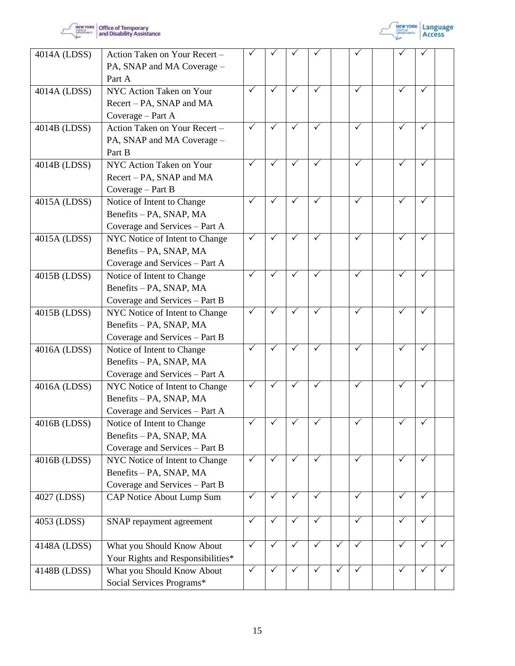



| 4014A (LDSS) | Action Taken on Your Recert -<br>PA, SNAP and MA Coverage - |                 |              |              |              |              |              |              |              |  |
|--------------|-------------------------------------------------------------|-----------------|--------------|--------------|--------------|--------------|--------------|--------------|--------------|--|
|              | Part A                                                      |                 |              |              |              |              |              |              |              |  |
| 4014A (LDSS) | NYC Action Taken on Your                                    | $\checkmark$    | $\checkmark$ | ✓            | ✓            |              | $\checkmark$ | ✓            | ✓            |  |
|              | Recert – PA, SNAP and MA                                    |                 |              |              |              |              |              |              |              |  |
|              | Coverage - Part A                                           |                 |              |              |              |              |              |              |              |  |
| 4014B (LDSS) | Action Taken on Your Recert -                               | $\checkmark$    | $\checkmark$ | ✓            | ✓            |              | $\checkmark$ | ✓            | $\checkmark$ |  |
|              | PA, SNAP and MA Coverage -                                  |                 |              |              |              |              |              |              |              |  |
|              | Part B                                                      |                 |              |              |              |              |              |              |              |  |
| 4014B (LDSS) | NYC Action Taken on Your                                    | $\checkmark$    | ✓            | $\checkmark$ | ✓            |              | $\checkmark$ | ✓            | $\checkmark$ |  |
|              | Recert – PA, SNAP and MA                                    |                 |              |              |              |              |              |              |              |  |
|              | Coverage - Part B                                           |                 |              |              |              |              |              |              |              |  |
| 4015A (LDSS) | Notice of Intent to Change                                  | $\bar{\sqrt{}}$ | ✓            | $\checkmark$ | ✓            |              | $\checkmark$ | ✓            | ✓            |  |
|              | Benefits - PA, SNAP, MA                                     |                 |              |              |              |              |              |              |              |  |
|              | Coverage and Services - Part A                              |                 |              |              |              |              |              |              |              |  |
| 4015A (LDSS) | NYC Notice of Intent to Change                              | $\checkmark$    | $\checkmark$ | $\checkmark$ | ✓            |              | $\checkmark$ | ✓            | $\checkmark$ |  |
|              | Benefits - PA, SNAP, MA                                     |                 |              |              |              |              |              |              |              |  |
|              | Coverage and Services – Part A                              |                 |              |              |              |              |              |              |              |  |
| 4015B (LDSS) | Notice of Intent to Change                                  | ✓               | ✓            | ✓            | ✓            |              | $\checkmark$ | ✓            | $\checkmark$ |  |
|              | Benefits - PA, SNAP, MA                                     |                 |              |              |              |              |              |              |              |  |
|              | Coverage and Services - Part B                              |                 |              |              |              |              |              |              |              |  |
| 4015B (LDSS) | NYC Notice of Intent to Change                              | $\checkmark$    | ✓            | $\checkmark$ | ✓            |              | $\checkmark$ | $\checkmark$ | $\checkmark$ |  |
|              | Benefits - PA, SNAP, MA                                     |                 |              |              |              |              |              |              |              |  |
|              | Coverage and Services - Part B                              |                 |              |              |              |              |              |              |              |  |
| 4016A (LDSS) | Notice of Intent to Change                                  | $\checkmark$    | ✓            | $\checkmark$ | ✓            |              | $\checkmark$ | ✓            | $\checkmark$ |  |
|              | Benefits - PA, SNAP, MA                                     |                 |              |              |              |              |              |              |              |  |
|              | Coverage and Services – Part A                              |                 |              |              |              |              |              |              |              |  |
| 4016A (LDSS) | NYC Notice of Intent to Change                              | $\checkmark$    | ✓            | ✓            | $\checkmark$ |              | $\checkmark$ |              | ✓            |  |
|              | Benefits - PA, SNAP, MA                                     |                 |              |              |              |              |              |              |              |  |
|              | Coverage and Services – Part A                              |                 |              |              |              |              |              |              |              |  |
| 4016B (LDSS) | Notice of Intent to Change                                  | ✓               |              |              |              |              |              |              |              |  |
|              | Benefits - PA, SNAP, MA                                     |                 |              |              |              |              |              |              |              |  |
|              | Coverage and Services - Part B                              |                 |              |              |              |              |              |              |              |  |
| 4016B (LDSS) | NYC Notice of Intent to Change                              | $\checkmark$    | $\checkmark$ | $\checkmark$ | ✓            |              | $\checkmark$ | $\checkmark$ | $\checkmark$ |  |
|              | Benefits - PA, SNAP, MA                                     |                 |              |              |              |              |              |              |              |  |
|              | Coverage and Services - Part B                              |                 |              |              |              |              |              |              |              |  |
| 4027 (LDSS)  | CAP Notice About Lump Sum                                   | $\checkmark$    | ✓            | $\checkmark$ | $\checkmark$ |              | $\checkmark$ | $\checkmark$ | $\checkmark$ |  |
|              |                                                             |                 |              |              |              |              | $\checkmark$ |              |              |  |
| 4053 (LDSS)  | SNAP repayment agreement                                    | $\checkmark$    | ✓            | $\checkmark$ | $\checkmark$ |              |              | ✓            | ✓            |  |
|              |                                                             | $\checkmark$    | $\checkmark$ | $\checkmark$ | $\checkmark$ | $\checkmark$ | $\checkmark$ | ✓            | $\checkmark$ |  |
| 4148A (LDSS) | What you Should Know About                                  |                 |              |              |              |              |              |              |              |  |
|              | Your Rights and Responsibilities*                           | $\checkmark$    | ✓            | $\checkmark$ | $\checkmark$ | $\checkmark$ | $\checkmark$ | $\checkmark$ | ✓            |  |
| 4148B (LDSS) | What you Should Know About                                  |                 |              |              |              |              |              |              |              |  |
|              | Social Services Programs*                                   |                 |              |              |              |              |              |              |              |  |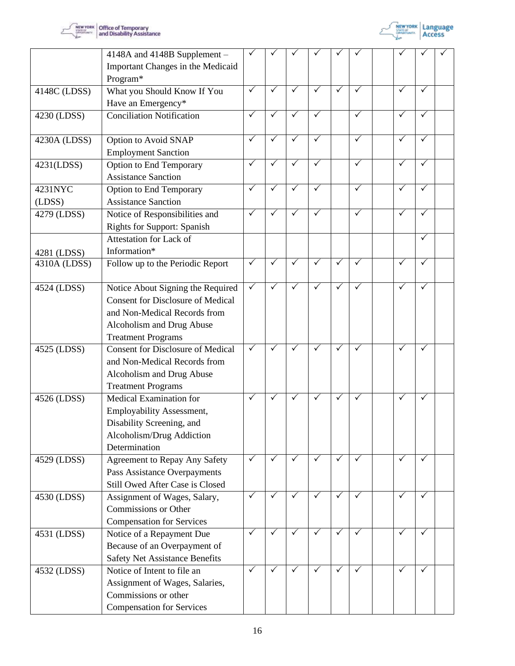



|              | 4148A and 4148B Supplement -<br>Important Changes in the Medicaid                   |              |              |              |              |              |              |                 |              |  |
|--------------|-------------------------------------------------------------------------------------|--------------|--------------|--------------|--------------|--------------|--------------|-----------------|--------------|--|
|              | Program*                                                                            |              |              |              |              |              |              |                 |              |  |
| 4148C (LDSS) | What you Should Know If You<br>Have an Emergency*                                   | $\checkmark$ | $\checkmark$ | ✓            | ✓            | $\checkmark$ | $\checkmark$ | $\checkmark$    | $\checkmark$ |  |
| 4230 (LDSS)  | <b>Conciliation Notification</b>                                                    | $\checkmark$ | $\checkmark$ | $\checkmark$ | ✓            |              | $\checkmark$ | $\checkmark$    | ✓            |  |
| 4230A (LDSS) | Option to Avoid SNAP                                                                | $\checkmark$ | $\checkmark$ | $\checkmark$ | $\checkmark$ |              | $\sqrt{}$    | $\checkmark$    | $\checkmark$ |  |
| 4231(LDSS)   | <b>Employment Sanction</b><br>Option to End Temporary<br><b>Assistance Sanction</b> | ✓            | ✓            | ✓            | ✓            |              | $\checkmark$ | ✓               | ✓            |  |
| 4231NYC      | <b>Option to End Temporary</b>                                                      | ✓            | $\checkmark$ | ✓            | ✓            |              | $\checkmark$ | ✓               | ✓            |  |
| (LDSS)       | <b>Assistance Sanction</b>                                                          |              |              |              |              |              |              |                 |              |  |
| 4279 (LDSS)  | Notice of Responsibilities and<br><b>Rights for Support: Spanish</b>                | ✓            | $\checkmark$ | ✓            | $\checkmark$ |              | $\checkmark$ |                 | ✓            |  |
|              | Attestation for Lack of                                                             |              |              |              |              |              |              |                 | $\checkmark$ |  |
| 4281 (LDSS)  | Information*                                                                        |              |              |              |              |              |              |                 |              |  |
| 4310A (LDSS) | Follow up to the Periodic Report                                                    | $\checkmark$ | $\checkmark$ | $\checkmark$ | $\checkmark$ | $\checkmark$ | $\checkmark$ | $\bar{\sqrt{}}$ | $\checkmark$ |  |
| 4524 (LDSS)  | Notice About Signing the Required                                                   | $\checkmark$ | $\checkmark$ | ✓            | $\checkmark$ | $\checkmark$ | $\checkmark$ | ✓               | $\checkmark$ |  |
|              | <b>Consent for Disclosure of Medical</b>                                            |              |              |              |              |              |              |                 |              |  |
|              | and Non-Medical Records from                                                        |              |              |              |              |              |              |                 |              |  |
|              | Alcoholism and Drug Abuse                                                           |              |              |              |              |              |              |                 |              |  |
|              | <b>Treatment Programs</b>                                                           |              |              |              |              |              |              |                 |              |  |
| 4525 (LDSS)  | <b>Consent for Disclosure of Medical</b>                                            | ✓            | $\checkmark$ | ✓            | $\checkmark$ | $\checkmark$ | $\checkmark$ | $\checkmark$    | $\checkmark$ |  |
|              | and Non-Medical Records from                                                        |              |              |              |              |              |              |                 |              |  |
|              | Alcoholism and Drug Abuse                                                           |              |              |              |              |              |              |                 |              |  |
|              | <b>Treatment Programs</b>                                                           |              |              |              |              |              |              |                 |              |  |
|              | Medical Examination for                                                             | $\checkmark$ | $\checkmark$ | $\checkmark$ | $\checkmark$ | $\checkmark$ | $\checkmark$ | $\checkmark$    | $\checkmark$ |  |
| 4526 (LDSS)  |                                                                                     |              |              |              |              |              |              |                 |              |  |
|              | <b>Employability Assessment,</b>                                                    |              |              |              |              |              |              |                 |              |  |
|              | Disability Screening, and                                                           |              |              |              |              |              |              |                 |              |  |
|              | Alcoholism/Drug Addiction                                                           |              |              |              |              |              |              |                 |              |  |
|              | Determination                                                                       | $\checkmark$ | $\checkmark$ | $\checkmark$ | $\sqrt{ }$   | $\checkmark$ | $\checkmark$ | $\checkmark$    | $\checkmark$ |  |
| 4529 (LDSS)  | <b>Agreement to Repay Any Safety</b>                                                |              |              |              |              |              |              |                 |              |  |
|              | Pass Assistance Overpayments                                                        |              |              |              |              |              |              |                 |              |  |
|              | Still Owed After Case is Closed                                                     |              |              |              |              |              |              |                 |              |  |
| 4530 (LDSS)  | Assignment of Wages, Salary,                                                        | ✓            | ✓            | ✓            | $\checkmark$ | $\checkmark$ | $\checkmark$ | ✓               | ✓            |  |
|              | Commissions or Other                                                                |              |              |              |              |              |              |                 |              |  |
|              | <b>Compensation for Services</b>                                                    |              |              |              |              |              |              |                 |              |  |
| 4531 (LDSS)  | Notice of a Repayment Due                                                           | $\checkmark$ | $\checkmark$ | ✓            | $\checkmark$ | $\checkmark$ | $\checkmark$ | $\checkmark$    | ✓            |  |
|              | Because of an Overpayment of                                                        |              |              |              |              |              |              |                 |              |  |
|              | <b>Safety Net Assistance Benefits</b>                                               |              |              |              |              |              |              |                 |              |  |
| 4532 (LDSS)  | Notice of Intent to file an                                                         | ✓            | $\checkmark$ | ✓            | ✓            | $\checkmark$ | $\checkmark$ | $\checkmark$    | ✓            |  |
|              | Assignment of Wages, Salaries,                                                      |              |              |              |              |              |              |                 |              |  |
|              | Commissions or other                                                                |              |              |              |              |              |              |                 |              |  |
|              | <b>Compensation for Services</b>                                                    |              |              |              |              |              |              |                 |              |  |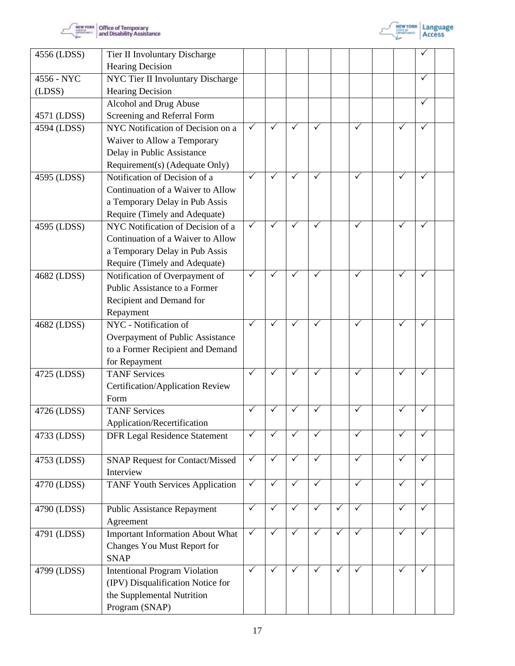



| 4556 (LDSS) | Tier II Involuntary Discharge                                                                                                                                           |              |              |              |                       |              |              |              |              |  |
|-------------|-------------------------------------------------------------------------------------------------------------------------------------------------------------------------|--------------|--------------|--------------|-----------------------|--------------|--------------|--------------|--------------|--|
|             | <b>Hearing Decision</b>                                                                                                                                                 |              |              |              |                       |              |              |              |              |  |
| 4556 - NYC  | NYC Tier II Involuntary Discharge                                                                                                                                       |              |              |              |                       |              |              |              | ✓            |  |
| (LDSS)      | <b>Hearing Decision</b>                                                                                                                                                 |              |              |              |                       |              |              |              |              |  |
|             | Alcohol and Drug Abuse                                                                                                                                                  |              |              |              |                       |              |              |              | ✓            |  |
| 4571 (LDSS) | Screening and Referral Form                                                                                                                                             |              |              |              |                       |              |              |              |              |  |
| 4594 (LDSS) | NYC Notification of Decision on a                                                                                                                                       | $\checkmark$ | ✓            | $\checkmark$ | ✓                     |              | $\checkmark$ | ✓            | ✓            |  |
|             | Waiver to Allow a Temporary                                                                                                                                             |              |              |              |                       |              |              |              |              |  |
|             | Delay in Public Assistance                                                                                                                                              |              |              |              |                       |              |              |              |              |  |
|             | Requirement(s) (Adequate Only)                                                                                                                                          |              |              |              |                       |              |              |              |              |  |
| 4595 (LDSS) | Notification of Decision of a                                                                                                                                           | $\checkmark$ | $\checkmark$ | $\checkmark$ | ✓                     |              | $\checkmark$ | ✓            | ✓            |  |
|             | Continuation of a Waiver to Allow                                                                                                                                       |              |              |              |                       |              |              |              |              |  |
|             | a Temporary Delay in Pub Assis                                                                                                                                          |              |              |              |                       |              |              |              |              |  |
|             | Require (Timely and Adequate)                                                                                                                                           |              |              |              |                       |              |              |              |              |  |
| 4595 (LDSS) | NYC Notification of Decision of a                                                                                                                                       | $\checkmark$ | $\checkmark$ | $\checkmark$ | ✓                     |              | $\checkmark$ | ✓            | ✓            |  |
|             | Continuation of a Waiver to Allow                                                                                                                                       |              |              |              |                       |              |              |              |              |  |
|             | a Temporary Delay in Pub Assis                                                                                                                                          |              |              |              |                       |              |              |              |              |  |
|             | Require (Timely and Adequate)                                                                                                                                           |              |              |              |                       |              |              |              |              |  |
| 4682 (LDSS) | Notification of Overpayment of                                                                                                                                          | ✓            | ✓            | $\checkmark$ |                       |              | $\checkmark$ | ✓            | ✓            |  |
|             | Public Assistance to a Former                                                                                                                                           |              |              |              |                       |              |              |              |              |  |
|             | Recipient and Demand for                                                                                                                                                |              |              |              |                       |              |              |              |              |  |
|             | Repayment                                                                                                                                                               |              |              |              |                       |              |              |              |              |  |
| 4682 (LDSS) | NYC - Notification of                                                                                                                                                   | ✓            | ✓            | $\checkmark$ | ✓                     |              | $\checkmark$ | ✓            | $\checkmark$ |  |
|             | Overpayment of Public Assistance                                                                                                                                        |              |              |              |                       |              |              |              |              |  |
|             | to a Former Recipient and Demand                                                                                                                                        |              |              |              |                       |              |              |              |              |  |
|             | for Repayment                                                                                                                                                           |              |              |              |                       |              |              |              |              |  |
| 4725 (LDSS) | <b>TANF Services</b>                                                                                                                                                    | $\checkmark$ | ✓            | $\checkmark$ | ✓                     |              | $\checkmark$ | $\checkmark$ | ✓            |  |
|             | Certification/Application Review                                                                                                                                        |              |              |              |                       |              |              |              |              |  |
|             | Form                                                                                                                                                                    |              |              |              |                       |              |              |              |              |  |
| 4726 (LDSS) | <b>TANF Services</b>                                                                                                                                                    | ✓            | ✓            | $\checkmark$ |                       |              | ✓            |              | ✓            |  |
|             | Application/Recertification                                                                                                                                             | $\checkmark$ |              |              |                       |              | $\checkmark$ | ✓            | $\checkmark$ |  |
| 4733 (LDSS) | <b>DFR Legal Residence Statement</b>                                                                                                                                    |              |              | $\checkmark$ | ✓                     |              |              |              |              |  |
|             |                                                                                                                                                                         | $\checkmark$ | $\checkmark$ | $\checkmark$ | $\checkmark$          |              | $\checkmark$ | $\checkmark$ | ✓            |  |
| 4753 (LDSS) | <b>SNAP Request for Contact/Missed</b><br>Interview                                                                                                                     |              |              |              |                       |              |              |              |              |  |
| 4770 (LDSS) | <b>TANF Youth Services Application</b>                                                                                                                                  | $\sqrt{}$    | $\checkmark$ | $\sqrt{}$    | $\checkmark$          |              | $\sqrt{}$    | $\checkmark$ | $\checkmark$ |  |
|             |                                                                                                                                                                         |              |              |              |                       |              |              |              |              |  |
| 4790 (LDSS) | <b>Public Assistance Repayment</b>                                                                                                                                      | $\checkmark$ | $\checkmark$ | $\checkmark$ | $\overline{\sqrt{ }}$ | $\checkmark$ | $\checkmark$ | $\checkmark$ | $\checkmark$ |  |
|             | Agreement                                                                                                                                                               |              |              |              |                       |              |              |              |              |  |
| 4791 (LDSS) | <b>Important Information About What</b>                                                                                                                                 | $\checkmark$ | ✓            | $\checkmark$ | $\checkmark$          | $\checkmark$ | $\checkmark$ | ✓            | $\checkmark$ |  |
|             |                                                                                                                                                                         |              |              |              |                       |              |              |              |              |  |
|             |                                                                                                                                                                         |              |              |              |                       |              |              |              |              |  |
|             |                                                                                                                                                                         | $\checkmark$ |              | $\checkmark$ | $\checkmark$          | $\checkmark$ | $\checkmark$ | $\checkmark$ | $\checkmark$ |  |
|             |                                                                                                                                                                         |              |              |              |                       |              |              |              |              |  |
|             |                                                                                                                                                                         |              |              |              |                       |              |              |              |              |  |
|             |                                                                                                                                                                         |              |              |              |                       |              |              |              |              |  |
| 4799 (LDSS) | Changes You Must Report for<br><b>SNAP</b><br><b>Intentional Program Violation</b><br>(IPV) Disqualification Notice for<br>the Supplemental Nutrition<br>Program (SNAP) |              |              |              |                       |              |              |              |              |  |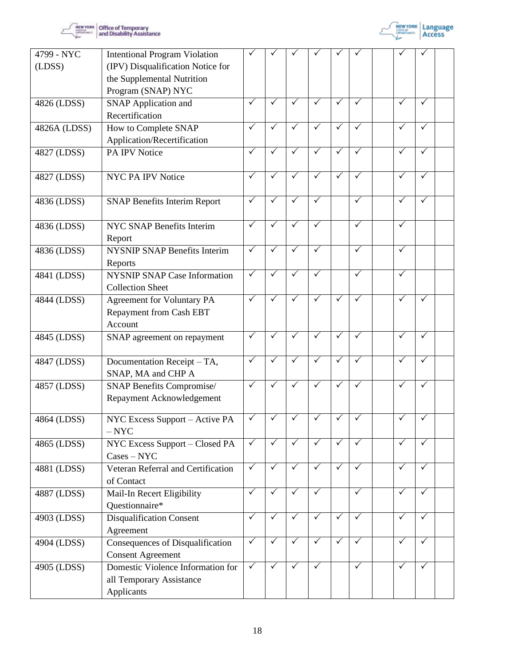



| 4799 - NYC   | <b>Intentional Program Violation</b>                                        |              |              |              |              |              |              |              |              |  |
|--------------|-----------------------------------------------------------------------------|--------------|--------------|--------------|--------------|--------------|--------------|--------------|--------------|--|
| (LDSS)       | (IPV) Disqualification Notice for                                           |              |              |              |              |              |              |              |              |  |
|              | the Supplemental Nutrition                                                  |              |              |              |              |              |              |              |              |  |
|              | Program (SNAP) NYC                                                          |              |              |              |              |              |              |              |              |  |
| 4826 (LDSS)  | <b>SNAP Application and</b>                                                 | ✓            | ✓            | ✓            | $\checkmark$ | $\checkmark$ | ✓            | $\checkmark$ | ✓            |  |
|              | Recertification                                                             |              |              |              |              |              |              |              |              |  |
| 4826A (LDSS) | How to Complete SNAP                                                        | ✓            | ✓            | $\checkmark$ | ✓            | $\checkmark$ | $\checkmark$ | ✓            | ✓            |  |
|              | Application/Recertification                                                 |              |              |              |              |              |              |              |              |  |
| 4827 (LDSS)  | PA IPV Notice                                                               | ✓            |              | ✓            | $\checkmark$ | $\checkmark$ | $\checkmark$ | $\checkmark$ | ✓            |  |
| 4827 (LDSS)  | <b>NYC PA IPV Notice</b>                                                    | $\checkmark$ | $\checkmark$ | $\checkmark$ | $\checkmark$ | $\sqrt{}$    | $\checkmark$ | $\checkmark$ | $\checkmark$ |  |
| 4836 (LDSS)  | <b>SNAP Benefits Interim Report</b>                                         | $\checkmark$ | ✓            | ✓            | ✓            |              | $\checkmark$ | $\checkmark$ | $\checkmark$ |  |
| 4836 (LDSS)  | <b>NYC SNAP Benefits Interim</b><br>Report                                  | ✓            |              | ✓            | ✓            |              | $\checkmark$ | ✓            |              |  |
| 4836 (LDSS)  | <b>NYSNIP SNAP Benefits Interim</b><br>Reports                              | $\checkmark$ | ✓            | ✓            | ✓            |              | $\checkmark$ | $\checkmark$ |              |  |
| 4841 (LDSS)  | <b>NYSNIP SNAP Case Information</b><br><b>Collection Sheet</b>              | $\checkmark$ | ✓            | $\checkmark$ | ✓            |              | $\checkmark$ | $\checkmark$ |              |  |
| 4844 (LDSS)  | <b>Agreement for Voluntary PA</b><br>Repayment from Cash EBT<br>Account     | $\checkmark$ | ✓            | ✓            | $\checkmark$ | $\checkmark$ | $\checkmark$ | $\checkmark$ | $\checkmark$ |  |
| 4845 (LDSS)  | SNAP agreement on repayment                                                 | $\checkmark$ | $\checkmark$ | $\checkmark$ | $\checkmark$ | $\checkmark$ | $\checkmark$ | ✓            | ✓            |  |
| 4847 (LDSS)  | Documentation Receipt - TA,<br>SNAP, MA and CHP A                           | $\checkmark$ | ✓            | $\checkmark$ | ✓            | $\checkmark$ | $\checkmark$ | $\checkmark$ | $\checkmark$ |  |
| 4857 (LDSS)  | <b>SNAP Benefits Compromise/</b>                                            | $\checkmark$ | $\checkmark$ | ✓            | $\checkmark$ | $\checkmark$ | $\checkmark$ | ✓            | ✓            |  |
|              | Repayment Acknowledgement                                                   |              |              |              |              |              |              |              |              |  |
| 4864 (LDSS)  | NYC Excess Support - Active PA<br>$-$ NYC                                   | $\checkmark$ | $\checkmark$ | $\checkmark$ | $\checkmark$ | $\checkmark$ | $\sqrt{}$    | $\checkmark$ | $\checkmark$ |  |
| 4865 (LDSS)  | NYC Excess Support - Closed PA<br>$\text{Case} \text{s} - \text{NYC}$       | $\checkmark$ | $\checkmark$ | $\checkmark$ | $\checkmark$ | $\checkmark$ | $\checkmark$ | ✓            | ✓            |  |
| 4881 (LDSS)  | Veteran Referral and Certification<br>of Contact                            | $\checkmark$ | $\checkmark$ | $\checkmark$ | $\checkmark$ | $\checkmark$ | $\checkmark$ | $\checkmark$ | $\checkmark$ |  |
| 4887 (LDSS)  | Mail-In Recert Eligibility<br>Questionnaire*                                | ✓            | ✓            | $\checkmark$ | ✓            |              | $\checkmark$ | ✓            | $\checkmark$ |  |
| 4903 (LDSS)  | <b>Disqualification Consent</b><br>Agreement                                | $\checkmark$ | ✓            | $\checkmark$ | $\checkmark$ | $\checkmark$ | $\sqrt{}$    | $\checkmark$ | $\checkmark$ |  |
| 4904 (LDSS)  | Consequences of Disqualification<br><b>Consent Agreement</b>                | $\checkmark$ | $\checkmark$ | ✓            | $\checkmark$ | $\checkmark$ | $\checkmark$ | $\checkmark$ | $\checkmark$ |  |
| 4905 (LDSS)  | Domestic Violence Information for<br>all Temporary Assistance<br>Applicants | $\checkmark$ | $\checkmark$ | $\checkmark$ | $\checkmark$ |              | $\checkmark$ | ✓            | $\checkmark$ |  |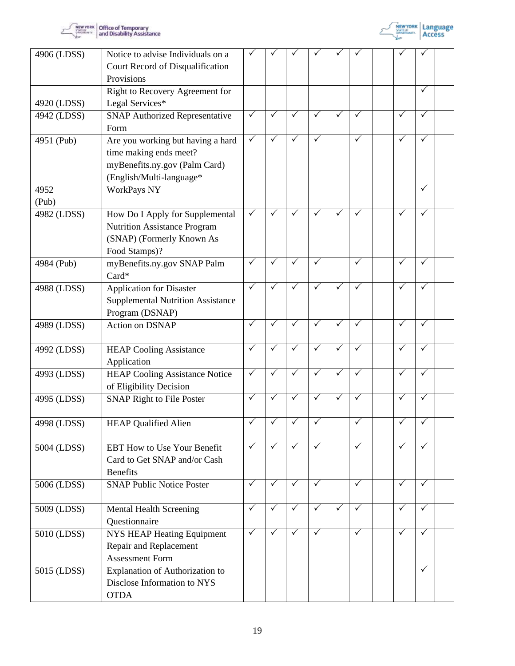



| 4906 (LDSS) | Notice to advise Individuals on a<br>Court Record of Disqualification<br>Provisions                                      |              |              |              |              |              |              |              |              |  |
|-------------|--------------------------------------------------------------------------------------------------------------------------|--------------|--------------|--------------|--------------|--------------|--------------|--------------|--------------|--|
| 4920 (LDSS) | Right to Recovery Agreement for<br>Legal Services*                                                                       |              |              |              |              |              |              |              | ✓            |  |
| 4942 (LDSS) | <b>SNAP Authorized Representative</b><br>Form                                                                            | $\checkmark$ |              | $\checkmark$ | $\checkmark$ | $\checkmark$ | ✓            | ✓            | ✓            |  |
| 4951 (Pub)  | Are you working but having a hard<br>time making ends meet?<br>myBenefits.ny.gov (Palm Card)<br>(English/Multi-language* | $\checkmark$ |              | $\checkmark$ | ✓            |              | $\checkmark$ | $\checkmark$ | $\checkmark$ |  |
| 4952        | <b>WorkPays NY</b>                                                                                                       |              |              |              |              |              |              |              | ✓            |  |
| (Pub)       |                                                                                                                          |              |              |              |              |              |              |              |              |  |
| 4982 (LDSS) | How Do I Apply for Supplemental<br><b>Nutrition Assistance Program</b><br>(SNAP) (Formerly Known As<br>Food Stamps)?     | $\checkmark$ |              | $\checkmark$ | $\checkmark$ | ✓            | ✓            |              | ✓            |  |
| 4984 (Pub)  | myBenefits.ny.gov SNAP Palm<br>Card*                                                                                     | ✓            | ✓            | ✓            | $\checkmark$ |              | ✓            | $\checkmark$ | ✓            |  |
| 4988 (LDSS) | <b>Application for Disaster</b><br><b>Supplemental Nutrition Assistance</b><br>Program (DSNAP)                           | $\checkmark$ | ✓            | ✓            | ✓            | $\checkmark$ | $\checkmark$ | ✓            | ✓            |  |
| 4989 (LDSS) | <b>Action on DSNAP</b>                                                                                                   | $\checkmark$ |              | $\checkmark$ | $\checkmark$ | $\checkmark$ | ✓            |              | $\checkmark$ |  |
| 4992 (LDSS) | <b>HEAP Cooling Assistance</b><br>Application                                                                            | $\checkmark$ | ✓            | $\checkmark$ | ✓            | $\checkmark$ | $\checkmark$ | $\checkmark$ | $\checkmark$ |  |
| 4993 (LDSS) | <b>HEAP Cooling Assistance Notice</b><br>of Eligibility Decision                                                         | $\checkmark$ | $\checkmark$ | $\checkmark$ | $\checkmark$ | $\checkmark$ | $\checkmark$ | $\checkmark$ | $\checkmark$ |  |
| 4995 (LDSS) | <b>SNAP Right to File Poster</b>                                                                                         | $\checkmark$ | ✓            | ✓            | $\checkmark$ | $\checkmark$ | $\checkmark$ | $\checkmark$ | $\checkmark$ |  |
| 4998 (LDSS) | <b>HEAP Qualified Alien</b>                                                                                              |              |              |              |              |              |              |              |              |  |
| 5004 (LDSS) | <b>EBT How to Use Your Benefit</b><br>Card to Get SNAP and/or Cash<br><b>Benefits</b>                                    | $\checkmark$ | $\checkmark$ | $\checkmark$ | $\checkmark$ |              | $\checkmark$ | $\checkmark$ | $\checkmark$ |  |
| 5006 (LDSS) | <b>SNAP Public Notice Poster</b>                                                                                         | $\checkmark$ | $\checkmark$ | $\checkmark$ | $\checkmark$ |              | $\checkmark$ | $\checkmark$ | $\checkmark$ |  |
| 5009 (LDSS) | <b>Mental Health Screening</b><br>Questionnaire                                                                          | $\checkmark$ | ✓            | $\checkmark$ | $\checkmark$ | $\sqrt{}$    | $\sqrt{}$    | $\sqrt{}$    | $\checkmark$ |  |
| 5010 (LDSS) | NYS HEAP Heating Equipment<br>Repair and Replacement<br><b>Assessment Form</b>                                           | $\checkmark$ | $\checkmark$ | $\checkmark$ | $\checkmark$ |              | $\sqrt{}$    | $\checkmark$ | $\checkmark$ |  |
| 5015 (LDSS) | Explanation of Authorization to<br>Disclose Information to NYS<br><b>OTDA</b>                                            |              |              |              |              |              |              |              | ✓            |  |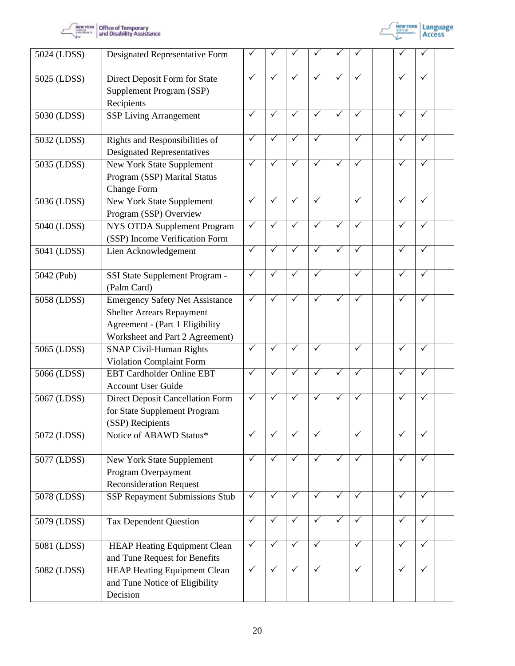



| 5024 (LDSS) | Designated Representative Form                                                                                                                   |              |              |              |              |              |              |              |              |  |
|-------------|--------------------------------------------------------------------------------------------------------------------------------------------------|--------------|--------------|--------------|--------------|--------------|--------------|--------------|--------------|--|
| 5025 (LDSS) | Direct Deposit Form for State<br>Supplement Program (SSP)<br>Recipients                                                                          | $\checkmark$ | ✓            | $\checkmark$ | $\checkmark$ | $\checkmark$ | $\checkmark$ | ✓            | $\checkmark$ |  |
| 5030 (LDSS) | <b>SSP Living Arrangement</b>                                                                                                                    | $\checkmark$ | ✓            | ✓            | $\checkmark$ | ✓            | $\checkmark$ | ✓            | ✓            |  |
| 5032 (LDSS) | Rights and Responsibilities of<br><b>Designated Representatives</b>                                                                              | $\checkmark$ | ✓            | ✓            | $\checkmark$ |              | $\checkmark$ | ✓            | $\checkmark$ |  |
| 5035 (LDSS) | New York State Supplement<br>Program (SSP) Marital Status<br><b>Change Form</b>                                                                  | $\checkmark$ | ✓            | $\checkmark$ | $\checkmark$ | $\checkmark$ | ✓            |              |              |  |
| 5036 (LDSS) | New York State Supplement<br>Program (SSP) Overview                                                                                              | $\checkmark$ | $\checkmark$ | $\checkmark$ | $\checkmark$ |              | $\checkmark$ | $\checkmark$ | $\checkmark$ |  |
| 5040 (LDSS) | NYS OTDA Supplement Program<br>(SSP) Income Verification Form                                                                                    | $\checkmark$ | ✓            | $\checkmark$ | $\checkmark$ | $\checkmark$ | $\checkmark$ | ✓            | ✓            |  |
| 5041 (LDSS) | Lien Acknowledgement                                                                                                                             | ✓            | ✓            | ✓            | $\checkmark$ | $\checkmark$ | $\checkmark$ | $\checkmark$ | ✓            |  |
| 5042 (Pub)  | SSI State Supplement Program -<br>(Palm Card)                                                                                                    | $\checkmark$ | ✓            |              | $\checkmark$ |              | $\checkmark$ |              | ✓            |  |
| 5058 (LDSS) | <b>Emergency Safety Net Assistance</b><br><b>Shelter Arrears Repayment</b><br>Agreement - (Part 1 Eligibility<br>Worksheet and Part 2 Agreement) | $\checkmark$ | ✓            | $\checkmark$ | $\checkmark$ | $\checkmark$ | $\checkmark$ | ✓            | $\checkmark$ |  |
| 5065 (LDSS) | <b>SNAP Civil-Human Rights</b><br>Violation Complaint Form                                                                                       | $\checkmark$ | $\checkmark$ | $\checkmark$ | $\checkmark$ |              | ✓            | ✓            | $\checkmark$ |  |
| 5066 (LDSS) | <b>EBT Cardholder Online EBT</b><br><b>Account User Guide</b>                                                                                    | $\checkmark$ |              | $\checkmark$ | $\sqrt{}$    | $\checkmark$ | $\checkmark$ | $\checkmark$ | $\checkmark$ |  |
| 5067 (LDSS) | Direct Deposit Cancellation Form<br>for State Supplement Program<br>(SSP) Recipients                                                             | $\sqrt{}$    | $\checkmark$ | $\checkmark$ | $\checkmark$ | $\checkmark$ | $\checkmark$ | $\checkmark$ | $\checkmark$ |  |
| 5072 (LDSS) | Notice of ABAWD Status*                                                                                                                          | ✓            |              |              |              |              | ✓            |              |              |  |
| 5077 (LDSS) | New York State Supplement<br>Program Overpayment<br><b>Reconsideration Request</b>                                                               | $\checkmark$ | $\checkmark$ | $\checkmark$ | $\checkmark$ | $\checkmark$ | $\checkmark$ | $\checkmark$ | ✓            |  |
| 5078 (LDSS) | SSP Repayment Submissions Stub                                                                                                                   | $\checkmark$ | $\checkmark$ | $\checkmark$ | $\checkmark$ | $\checkmark$ | $\checkmark$ | $\checkmark$ | $\checkmark$ |  |
| 5079 (LDSS) | <b>Tax Dependent Question</b>                                                                                                                    | $\checkmark$ | ✓            | $\checkmark$ | $\checkmark$ | $\checkmark$ | $\checkmark$ | ✓            | ✓            |  |
| 5081 (LDSS) | <b>HEAP Heating Equipment Clean</b><br>and Tune Request for Benefits                                                                             | $\checkmark$ | $\checkmark$ | $\checkmark$ | $\checkmark$ |              | $\sqrt{}$    | ✓            | $\checkmark$ |  |
| 5082 (LDSS) | <b>HEAP Heating Equipment Clean</b><br>and Tune Notice of Eligibility<br>Decision                                                                | $\checkmark$ | $\checkmark$ | $\checkmark$ | $\checkmark$ |              | $\checkmark$ | $\checkmark$ | ✓            |  |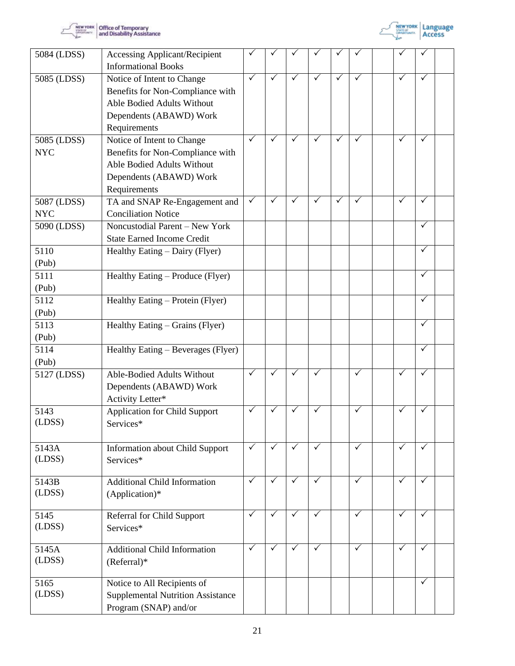



| 5084 (LDSS)                    | <b>Accessing Applicant/Recipient</b><br><b>Informational Books</b>                                                                      |              |              |              |              |              |              |              |                   |  |
|--------------------------------|-----------------------------------------------------------------------------------------------------------------------------------------|--------------|--------------|--------------|--------------|--------------|--------------|--------------|-------------------|--|
| 5085 (LDSS)                    | Notice of Intent to Change<br>Benefits for Non-Compliance with<br>Able Bodied Adults Without<br>Dependents (ABAWD) Work<br>Requirements | ✓            | $\checkmark$ | ✓            | $\checkmark$ | $\checkmark$ | $\checkmark$ | ✓            | ✓                 |  |
| 5085 (LDSS)<br><b>NYC</b>      | Notice of Intent to Change<br>Benefits for Non-Compliance with<br>Able Bodied Adults Without<br>Dependents (ABAWD) Work<br>Requirements | $\checkmark$ | $\checkmark$ | $\checkmark$ | $\checkmark$ | $\checkmark$ | $\checkmark$ | $\checkmark$ | $\checkmark$      |  |
| 5087 (LDSS)<br><b>NYC</b>      | TA and SNAP Re-Engagement and<br><b>Conciliation Notice</b>                                                                             | $\checkmark$ | $\checkmark$ | ✓            | ✓            | $\checkmark$ | $\checkmark$ | $\checkmark$ | ✓                 |  |
| 5090 (LDSS)                    | Noncustodial Parent - New York<br><b>State Earned Income Credit</b>                                                                     |              |              |              |              |              |              |              | $\checkmark$      |  |
| 5110<br>(Pub)                  | Healthy Eating – Dairy (Flyer)                                                                                                          |              |              |              |              |              |              |              | $\checkmark$      |  |
| 5111<br>(Pub)                  | Healthy Eating – Produce (Flyer)                                                                                                        |              |              |              |              |              |              |              | $\checkmark$      |  |
| 5112<br>(Pub)                  | Healthy Eating – Protein (Flyer)                                                                                                        |              |              |              |              |              |              |              | ✓                 |  |
| 5113<br>(Pub)<br>5114<br>(Pub) | Healthy Eating – Grains (Flyer)<br>Healthy Eating - Beverages (Flyer)                                                                   |              |              |              |              |              |              |              | ✓<br>$\checkmark$ |  |
| 5127 (LDSS)                    | Able-Bodied Adults Without<br>Dependents (ABAWD) Work<br>Activity Letter*                                                               | $\checkmark$ | $\checkmark$ | ✓            | ✓            |              | $\checkmark$ | ✓            | ✓                 |  |
| 5143<br>(LDSS)                 | <b>Application for Child Support</b><br>Services*                                                                                       | ✓            | $\checkmark$ |              | ✓            |              | $\checkmark$ | ✓            | ✓                 |  |
| 5143A<br>(LDSS)                | <b>Information about Child Support</b><br>Services*                                                                                     | $\checkmark$ | $\sqrt{}$    | $\sqrt{}$    | $\checkmark$ |              | $\sqrt{}$    | $\checkmark$ | $\sqrt{}$         |  |
| 5143B<br>(LDSS)                | <b>Additional Child Information</b><br>(Application)*                                                                                   | ✓            | $\checkmark$ | ✓            | ✓            |              | $\checkmark$ | ✓            | $\checkmark$      |  |
| 5145<br>(LDSS)                 | Referral for Child Support<br>Services*                                                                                                 | $\checkmark$ | $\checkmark$ | $\checkmark$ | $\checkmark$ |              | $\checkmark$ | $\checkmark$ | $\checkmark$      |  |
| 5145A<br>(LDSS)                | <b>Additional Child Information</b><br>$(Refernal)*$                                                                                    | $\checkmark$ | ✓            | ✓            | ✓            |              | $\checkmark$ | $\checkmark$ | $\checkmark$      |  |
| 5165<br>(LDSS)                 | Notice to All Recipients of<br><b>Supplemental Nutrition Assistance</b><br>Program (SNAP) and/or                                        |              |              |              |              |              |              |              | $\checkmark$      |  |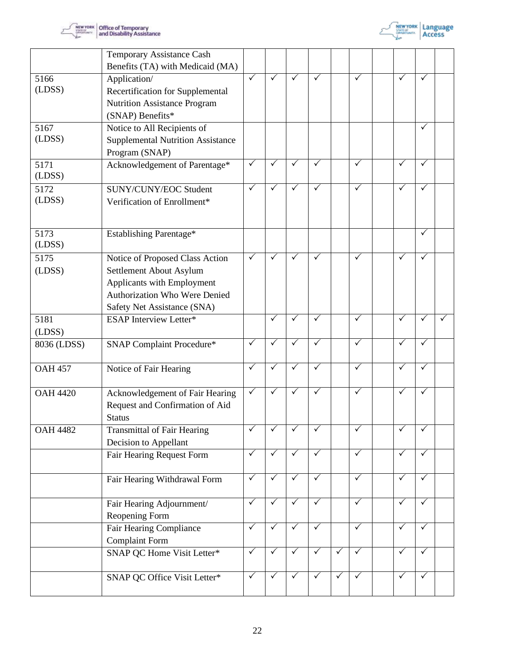



|                 | Temporary Assistance Cash<br>Benefits (TA) with Medicaid (MA)                                                                                            |              |              |              |              |              |              |              |              |  |
|-----------------|----------------------------------------------------------------------------------------------------------------------------------------------------------|--------------|--------------|--------------|--------------|--------------|--------------|--------------|--------------|--|
| 5166<br>(LDSS)  | Application/<br>Recertification for Supplemental<br><b>Nutrition Assistance Program</b><br>(SNAP) Benefits*                                              | ✓            | $\checkmark$ | ✓            | $\checkmark$ |              | $\checkmark$ | ✓            | ✓            |  |
| 5167<br>(LDSS)  | Notice to All Recipients of<br><b>Supplemental Nutrition Assistance</b><br>Program (SNAP)                                                                |              |              |              |              |              |              |              | $\checkmark$ |  |
| 5171<br>(LDSS)  | Acknowledgement of Parentage*                                                                                                                            | $\checkmark$ | ✓            | ✓            | ✓            |              | $\checkmark$ |              | ✓            |  |
| 5172<br>(LDSS)  | SUNY/CUNY/EOC Student<br>Verification of Enrollment*                                                                                                     | ✓            | $\checkmark$ | ✓            | $\checkmark$ |              | $\checkmark$ | ✓            | $\checkmark$ |  |
| 5173<br>(LDSS)  | Establishing Parentage*                                                                                                                                  |              |              |              |              |              |              |              | $\checkmark$ |  |
| 5175<br>(LDSS)  | Notice of Proposed Class Action<br>Settlement About Asylum<br>Applicants with Employment<br>Authorization Who Were Denied<br>Safety Net Assistance (SNA) | $\checkmark$ | $\checkmark$ | $\checkmark$ | $\checkmark$ |              | $\checkmark$ | $\checkmark$ | $\checkmark$ |  |
| 5181<br>(LDSS)  | <b>ESAP</b> Interview Letter*                                                                                                                            |              | $\checkmark$ | $\checkmark$ | $\checkmark$ |              | $\checkmark$ | $\checkmark$ | $\checkmark$ |  |
| 8036 (LDSS)     | SNAP Complaint Procedure*                                                                                                                                | $\checkmark$ | $\checkmark$ | ✓            | ✓            |              | $\checkmark$ | $\checkmark$ | ✓            |  |
| <b>OAH 457</b>  | Notice of Fair Hearing                                                                                                                                   | $\checkmark$ | $\checkmark$ | $\checkmark$ | $\checkmark$ |              | $\checkmark$ | $\checkmark$ | $\checkmark$ |  |
| <b>OAH 4420</b> | Acknowledgement of Fair Hearing<br>Request and Confirmation of Aid<br><b>Status</b>                                                                      | ✓            | ✓            | ✓            | ✓            |              | $\checkmark$ | ✓            | ✓            |  |
| <b>OAH 4482</b> | <b>Transmittal of Fair Hearing</b><br>Decision to Appellant                                                                                              |              |              |              |              |              | $\checkmark$ | $\checkmark$ | ✓            |  |
|                 | Fair Hearing Request Form                                                                                                                                | $\sqrt{}$    | $\sqrt{}$    | $\sqrt{}$    | $\checkmark$ |              | $\sqrt{}$    | $\checkmark$ | $\checkmark$ |  |
|                 | Fair Hearing Withdrawal Form                                                                                                                             | $\checkmark$ | $\checkmark$ | $\checkmark$ | $\checkmark$ |              | $\checkmark$ | $\checkmark$ | $\checkmark$ |  |
|                 | Fair Hearing Adjournment/<br>Reopening Form                                                                                                              | $\checkmark$ | $\checkmark$ | ✓            | ✓            |              | $\checkmark$ | ✓            | ✓            |  |
|                 | Fair Hearing Compliance<br><b>Complaint Form</b>                                                                                                         | $\checkmark$ | $\checkmark$ | ✓            | ✓            |              | $\checkmark$ | $\checkmark$ | $\checkmark$ |  |
|                 | SNAP QC Home Visit Letter*                                                                                                                               | $\checkmark$ | $\checkmark$ | $\checkmark$ | $\checkmark$ | $\checkmark$ | $\checkmark$ | $\checkmark$ | $\checkmark$ |  |
|                 | SNAP QC Office Visit Letter*                                                                                                                             | $\checkmark$ | $\checkmark$ | $\checkmark$ | $\checkmark$ | $\checkmark$ | $\checkmark$ | $\checkmark$ | $\checkmark$ |  |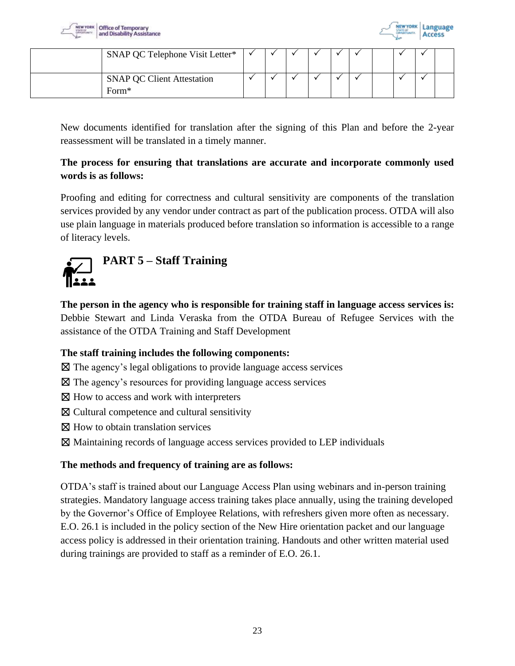



| SNAP QC Telephone Visit Letter*            |  |  |  |  |  |
|--------------------------------------------|--|--|--|--|--|
| <b>SNAP QC Client Attestation</b><br>Form* |  |  |  |  |  |

New documents identified for translation after the signing of this Plan and before the 2-year reassessment will be translated in a timely manner.

# **The process for ensuring that translations are accurate and incorporate commonly used words is as follows:**

Proofing and editing for correctness and cultural sensitivity are components of the translation services provided by any vendor under contract as part of the publication process. OTDA will also use plain language in materials produced before translation so information is accessible to a range of literacy levels.

<span id="page-22-0"></span>

**The person in the agency who is responsible for training staff in language access services is:** Debbie Stewart and Linda Veraska from the OTDA Bureau of Refugee Services with the assistance of the OTDA Training and Staff Development

# **The staff training includes the following components:**

- $\boxtimes$  The agency's legal obligations to provide language access services
- ☒ The agency's resources for providing language access services
- ⊠ How to access and work with interpreters
- ☒ Cultural competence and cultural sensitivity
- ☒ How to obtain translation services
- ☒ Maintaining records of language access services provided to LEP individuals

# **The methods and frequency of training are as follows:**

OTDA's staff is trained about our Language Access Plan using webinars and in-person training strategies. Mandatory language access training takes place annually, using the training developed by the Governor's Office of Employee Relations, with refreshers given more often as necessary. E.O. 26.1 is included in the policy section of the New Hire orientation packet and our language access policy is addressed in their orientation training. Handouts and other written material used during trainings are provided to staff as a reminder of E.O. 26.1.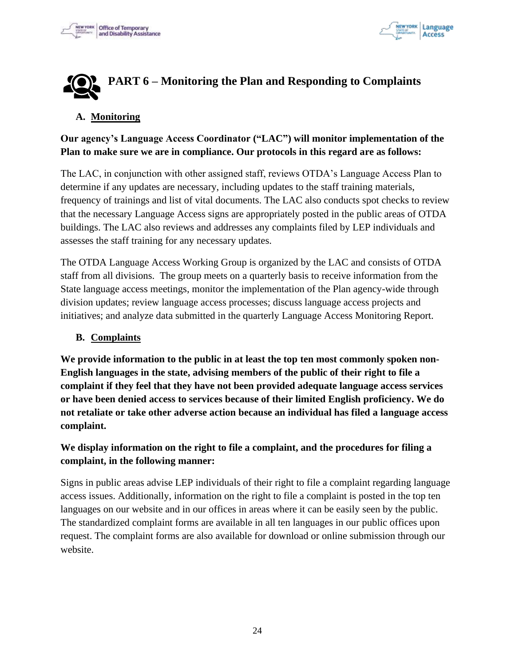



# <span id="page-23-0"></span>**PART 6 – Monitoring the Plan and Responding to Complaints**

#### **A. Monitoring**

# **Our agency's Language Access Coordinator ("LAC") will monitor implementation of the Plan to make sure we are in compliance. Our protocols in this regard are as follows:**

The LAC, in conjunction with other assigned staff, reviews OTDA's Language Access Plan to determine if any updates are necessary, including updates to the staff training materials, frequency of trainings and list of vital documents. The LAC also conducts spot checks to review that the necessary Language Access signs are appropriately posted in the public areas of OTDA buildings. The LAC also reviews and addresses any complaints filed by LEP individuals and assesses the staff training for any necessary updates.

The OTDA Language Access Working Group is organized by the LAC and consists of OTDA staff from all divisions. The group meets on a quarterly basis to receive information from the State language access meetings, monitor the implementation of the Plan agency-wide through division updates; review language access processes; discuss language access projects and initiatives; and analyze data submitted in the quarterly Language Access Monitoring Report.

#### **B. Complaints**

**We provide information to the public in at least the top ten most commonly spoken non-English languages in the state, advising members of the public of their right to file a complaint if they feel that they have not been provided adequate language access services or have been denied access to services because of their limited English proficiency. We do not retaliate or take other adverse action because an individual has filed a language access complaint.** 

# **We display information on the right to file a complaint, and the procedures for filing a complaint, in the following manner:**

Signs in public areas advise LEP individuals of their right to file a complaint regarding language access issues. Additionally, information on the right to file a complaint is posted in the top ten languages on our website and in our offices in areas where it can be easily seen by the public. The standardized complaint forms are available in all ten languages in our public offices upon request. The complaint forms are also available for download or online submission through our website.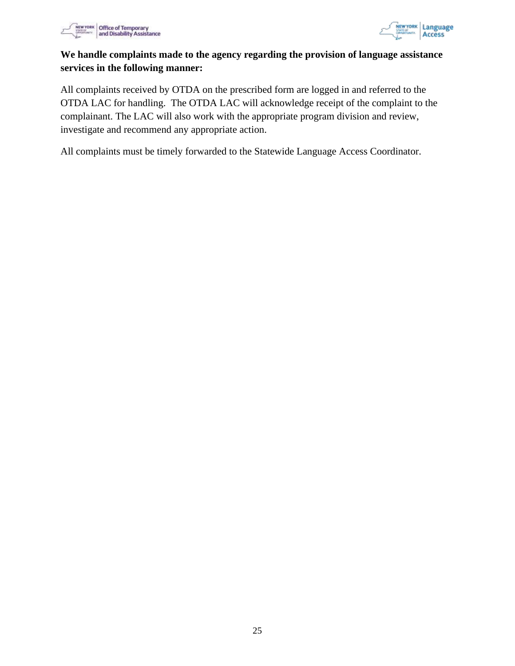

<span id="page-24-0"></span>

# **We handle complaints made to the agency regarding the provision of language assistance services in the following manner:**

All complaints received by OTDA on the prescribed form are logged in and referred to the OTDA LAC for handling. The OTDA LAC will acknowledge receipt of the complaint to the complainant. The LAC will also work with the appropriate program division and review, investigate and recommend any appropriate action.

All complaints must be timely forwarded to the Statewide Language Access Coordinator.